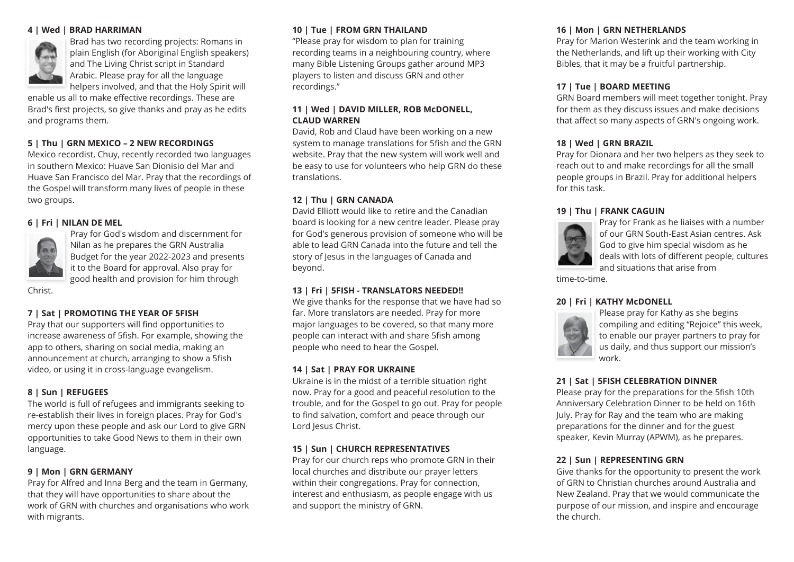#### **4 | Wed | BRAD HARRIMAN**



Brad has two recording projects: Romans in plain English (for Aboriginal English speakers) and The Living Christ script in Standard Arabic. Please pray for all the language helpers involved, and that the Holy Spirit will

enable us all to make effective recordings. These are Brad's first projects, so give thanks and pray as he edits and programs them.

# **5 | Thu | GRN MEXICO – 2 NEW RECORDINGS**

Mexico recordist, Chuy, recently recorded two languages in southern Mexico: Huave San Dionisio del Mar and Huave San Francisco del Mar. Pray that the recordings of the Gospel will transform many lives of people in these two groups.

#### **6 | Fri | NILAN DE MEL**



Pray for God's wisdom and discernment for Nilan as he prepares the GRN Australia Budget for the year 2022-2023 and presents it to the Board for approval. Also pray for good health and provision for him through

Christ.

### **7 | Sat | PROMOTING THE YEAR OF 5FISH**

Pray that our supporters will find opportunities to increase awareness of 5fish. For example, showing the app to others, sharing on social media, making an announcement at church, arranging to show a 5fish video, or using it in cross-language evangelism.

### **8 | Sun | REFUGEES**

The world is full of refugees and immigrants seeking to re-establish their lives in foreign places. Pray for God's mercy upon these people and ask our Lord to give GRN opportunities to take Good News to them in their own language.

# **9 | Mon | GRN GERMANY**

Pray for Alfred and Inna Berg and the team in Germany, that they will have opportunities to share about the work of GRN with churches and organisations who work with migrants.

# **10 | Tue | FROM GRN THAILAND**

"Please pray for wisdom to plan for training recording teams in a neighbouring country, where many Bible Listening Groups gather around MP3 players to listen and discuss GRN and other recordings."

#### **11 | Wed | DAVID MILLER, ROB McDONELL, CLAUD WARREN**

David, Rob and Claud have been working on a new system to manage translations for 5fish and the GRN website. Pray that the new system will work well and be easy to use for volunteers who help GRN do these translations.

# **12 | Thu | GRN CANADA**

David Elliott would like to retire and the Canadian board is looking for a new centre leader. Please pray for God's generous provision of someone who will be able to lead GRN Canada into the future and tell the story of Jesus in the languages of Canada and beyond.

### **13 | Fri | 5FISH - TRANSLATORS NEEDED!!**

We give thanks for the response that we have had so far. More translators are needed. Pray for more major languages to be covered, so that many more people can interact with and share 5fish among people who need to hear the Gospel.

#### **14 | Sat | PRAY FOR UKRAINE**

Ukraine is in the midst of a terrible situation right now. Pray for a good and peaceful resolution to the trouble, and for the Gospel to go out. Pray for people to find salvation, comfort and peace through our Lord Jesus Christ.

### **15 | Sun | CHURCH REPRESENTATIVES**

Pray for our church reps who promote GRN in their local churches and distribute our prayer letters within their congregations. Pray for connection, interest and enthusiasm, as people engage with us and support the ministry of GRN.

## **16 | Mon | GRN NETHERLANDS**

Pray for Marion Westerink and the team working in the Netherlands, and lift up their working with City Bibles, that it may be a fruitful partnership.

#### **17 | Tue | BOARD MEETING**

GRN Board members will meet together tonight. Pray for them as they discuss issues and make decisions that affect so many aspects of GRN's ongoing work.

# **18 | Wed | GRN BRAZIL**

Pray for Dionara and her two helpers as they seek to reach out to and make recordings for all the small people groups in Brazil. Pray for additional helpers for this task.

#### **19 | Thu | FRANK CAGUIN**



Pray for Frank as he liaises with a number of our GRN South-East Asian centres. Ask God to give him special wisdom as he deals with lots of different people, cultures and situations that arise from

time-to-time.

### **20 | Fri | KATHY McDONELL**



Please pray for Kathy as she begins compiling and editing "Rejoice" this week, to enable our prayer partners to pray for us daily, and thus support our mission's work.

### **21 | Sat | 5FISH CELEBRATION DINNER**

Please pray for the preparations for the 5fish 10th Anniversary Celebration Dinner to be held on 16th July. Pray for Ray and the team who are making preparations for the dinner and for the guest speaker, Kevin Murray (APWM), as he prepares.

### **22 | Sun | REPRESENTING GRN**

Give thanks for the opportunity to present the work of GRN to Christian churches around Australia and New Zealand. Pray that we would communicate the purpose of our mission, and inspire and encourage the church.